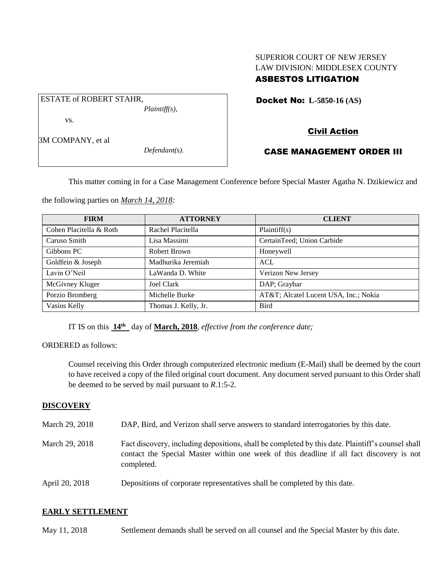## SUPERIOR COURT OF NEW JERSEY LAW DIVISION: MIDDLESEX COUNTY ASBESTOS LITIGATION

Docket No: **L-5850-16 (AS)** 

vs.

ESTATE of ROBERT STAHR,

3M COMPANY, et al

*Defendant(s).*

*Plaintiff(s),*

# Civil Action

## CASE MANAGEMENT ORDER III

This matter coming in for a Case Management Conference before Special Master Agatha N. Dzikiewicz and

the following parties on *March 14, 2018:*

| <b>FIRM</b>             | <b>ATTORNEY</b>      | <b>CLIENT</b>                        |
|-------------------------|----------------------|--------------------------------------|
| Cohen Placitella & Roth | Rachel Placitella    | Plaintiff(s)                         |
| Caruso Smith            | Lisa Massimi         | CertainTeed; Union Carbide           |
| Gibbons PC              | Robert Brown         | Honeywell                            |
| Goldfein & Joseph       | Madhurika Jeremiah   | <b>ACL</b>                           |
| Lavin O'Neil            | LaWanda D. White     | Verizon New Jersey                   |
| McGivney Kluger         | <b>Joel Clark</b>    | DAP; Graybar                         |
| Porzio Bromberg         | Michelle Burke       | AT&T Alcatel Lucent USA, Inc.; Nokia |
| Vasios Kelly            | Thomas J. Kelly, Jr. | <b>Bird</b>                          |

IT IS on this **14th** day of **March, 2018**, *effective from the conference date;*

ORDERED as follows:

Counsel receiving this Order through computerized electronic medium (E-Mail) shall be deemed by the court to have received a copy of the filed original court document. Any document served pursuant to this Order shall be deemed to be served by mail pursuant to *R*.1:5-2.

### **DISCOVERY**

- March 29, 2018 DAP, Bird, and Verizon shall serve answers to standard interrogatories by this date.
- March 29, 2018 Fact discovery, including depositions, shall be completed by this date. Plaintiff's counsel shall contact the Special Master within one week of this deadline if all fact discovery is not completed.
- April 20, 2018 Depositions of corporate representatives shall be completed by this date.

#### **EARLY SETTLEMENT**

May 11, 2018 Settlement demands shall be served on all counsel and the Special Master by this date.